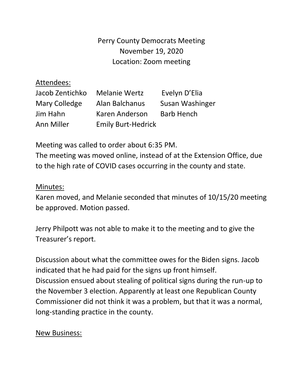Perry County Democrats Meeting November 19, 2020 Location: Zoom meeting

## Attendees:

| Jacob Zentichko | <b>Melanie Wertz</b>      | Evelyn D'Elia     |
|-----------------|---------------------------|-------------------|
| Mary Colledge   | Alan Balchanus            | Susan Washinger   |
| Jim Hahn        | Karen Anderson            | <b>Barb Hench</b> |
| Ann Miller      | <b>Emily Burt-Hedrick</b> |                   |

Meeting was called to order about 6:35 PM.

The meeting was moved online, instead of at the Extension Office, due to the high rate of COVID cases occurring in the county and state.

## Minutes:

Karen moved, and Melanie seconded that minutes of 10/15/20 meeting be approved. Motion passed.

Jerry Philpott was not able to make it to the meeting and to give the Treasurer's report.

Discussion about what the committee owes for the Biden signs. Jacob indicated that he had paid for the signs up front himself. Discussion ensued about stealing of political signs during the run-up to the November 3 election. Apparently at least one Republican County Commissioner did not think it was a problem, but that it was a normal, long-standing practice in the county.

## New Business: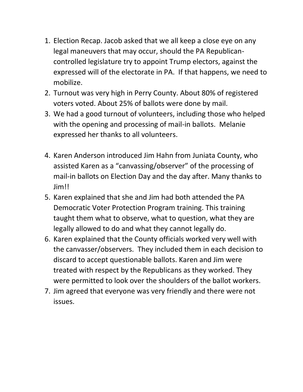- 1. Election Recap. Jacob asked that we all keep a close eye on any legal maneuvers that may occur, should the PA Republicancontrolled legislature try to appoint Trump electors, against the expressed will of the electorate in PA. If that happens, we need to mobilize.
- 2. Turnout was very high in Perry County. About 80% of registered voters voted. About 25% of ballots were done by mail.
- 3. We had a good turnout of volunteers, including those who helped with the opening and processing of mail-in ballots. Melanie expressed her thanks to all volunteers.
- 4. Karen Anderson introduced Jim Hahn from Juniata County, who assisted Karen as a "canvassing/observer" of the processing of mail-in ballots on Election Day and the day after. Many thanks to Jim!!
- 5. Karen explained that she and Jim had both attended the PA Democratic Voter Protection Program training. This training taught them what to observe, what to question, what they are legally allowed to do and what they cannot legally do.
- 6. Karen explained that the County officials worked very well with the canvasser/observers. They included them in each decision to discard to accept questionable ballots. Karen and Jim were treated with respect by the Republicans as they worked. They were permitted to look over the shoulders of the ballot workers.
- 7. Jim agreed that everyone was very friendly and there were not issues.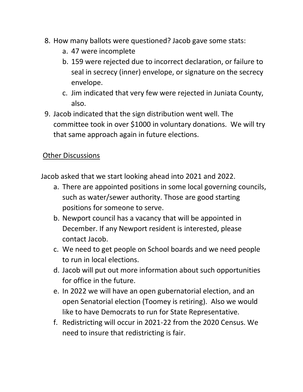- 8. How many ballots were questioned? Jacob gave some stats:
	- a. 47 were incomplete
	- b. 159 were rejected due to incorrect declaration, or failure to seal in secrecy (inner) envelope, or signature on the secrecy envelope.
	- c. Jim indicated that very few were rejected in Juniata County, also.
- 9. Jacob indicated that the sign distribution went well. The committee took in over \$1000 in voluntary donations. We will try that same approach again in future elections.

## **Other Discussions**

Jacob asked that we start looking ahead into 2021 and 2022.

- a. There are appointed positions in some local governing councils, such as water/sewer authority. Those are good starting positions for someone to serve.
- b. Newport council has a vacancy that will be appointed in December. If any Newport resident is interested, please contact Jacob.
- c. We need to get people on School boards and we need people to run in local elections.
- d. Jacob will put out more information about such opportunities for office in the future.
- e. In 2022 we will have an open gubernatorial election, and an open Senatorial election (Toomey is retiring). Also we would like to have Democrats to run for State Representative.
- f. Redistricting will occur in 2021-22 from the 2020 Census. We need to insure that redistricting is fair.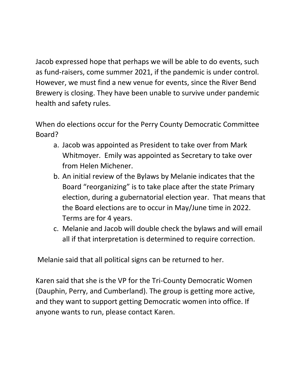Jacob expressed hope that perhaps we will be able to do events, such as fund-raisers, come summer 2021, if the pandemic is under control. However, we must find a new venue for events, since the River Bend Brewery is closing. They have been unable to survive under pandemic health and safety rules.

When do elections occur for the Perry County Democratic Committee Board?

- a. Jacob was appointed as President to take over from Mark Whitmoyer. Emily was appointed as Secretary to take over from Helen Michener.
- b. An initial review of the Bylaws by Melanie indicates that the Board "reorganizing" is to take place after the state Primary election, during a gubernatorial election year. That means that the Board elections are to occur in May/June time in 2022. Terms are for 4 years.
- c. Melanie and Jacob will double check the bylaws and will email all if that interpretation is determined to require correction.

Melanie said that all political signs can be returned to her.

Karen said that she is the VP for the Tri-County Democratic Women (Dauphin, Perry, and Cumberland). The group is getting more active, and they want to support getting Democratic women into office. If anyone wants to run, please contact Karen.